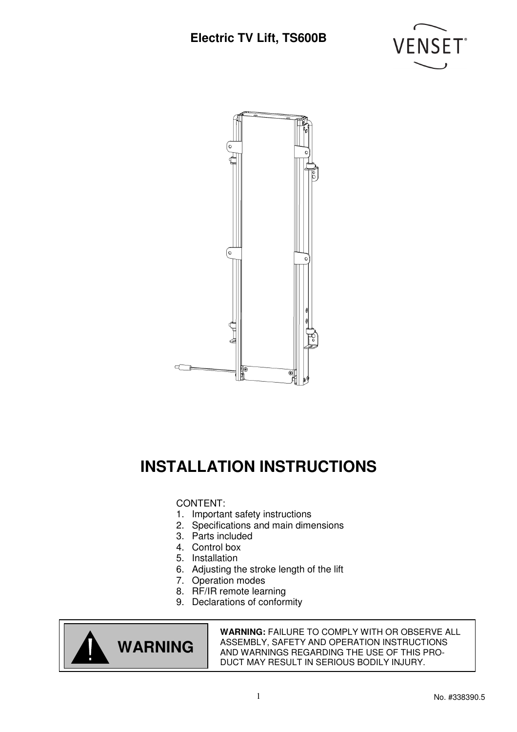



# **INSTALLATION INSTRUCTIONS**

#### CONTENT:

- 1. Important safety instructions
- 2. Specifications and main dimensions
- 3. Parts included
- 4. Control box
- 5. Installation
- 6. Adjusting the stroke length of the lift
- 7. Operation modes
- 8. RF/IR remote learning
- 9. Declarations of conformity



**WARNING:** FAILURE TO COMPLY WITH OR OBSERVE ALL ASSEMBLY, SAFETY AND OPERATION INSTRUCTIONS AND WARNINGS REGARDING THE USE OF THIS PRO-DUCT MAY RESULT IN SERIOUS BODILY INJURY.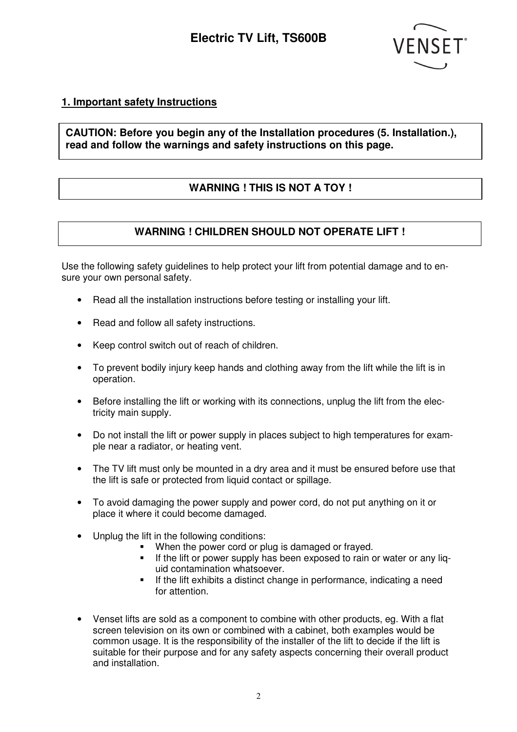

#### **1. Important safety Instructions**

#### **CAUTION: Before you begin any of the Installation procedures (5. Installation.), read and follow the warnings and safety instructions on this page.**

### **WARNING ! THIS IS NOT A TOY !**

### **WARNING ! CHILDREN SHOULD NOT OPERATE LIFT !**

Use the following safety guidelines to help protect your lift from potential damage and to ensure your own personal safety.

- Read all the installation instructions before testing or installing your lift.
- Read and follow all safety instructions.
- Keep control switch out of reach of children.
- To prevent bodily injury keep hands and clothing away from the lift while the lift is in operation.
- Before installing the lift or working with its connections, unplug the lift from the electricity main supply.
- Do not install the lift or power supply in places subject to high temperatures for example near a radiator, or heating vent.
- The TV lift must only be mounted in a dry area and it must be ensured before use that the lift is safe or protected from liquid contact or spillage.
- To avoid damaging the power supply and power cord, do not put anything on it or place it where it could become damaged.
- Unplug the lift in the following conditions:
	- **When the power cord or plug is damaged or frayed.**
	- If the lift or power supply has been exposed to rain or water or any liguid contamination whatsoever.
	- If the lift exhibits a distinct change in performance, indicating a need for attention.
- Venset lifts are sold as a component to combine with other products, eg. With a flat screen television on its own or combined with a cabinet, both examples would be common usage. It is the responsibility of the installer of the lift to decide if the lift is suitable for their purpose and for any safety aspects concerning their overall product and installation.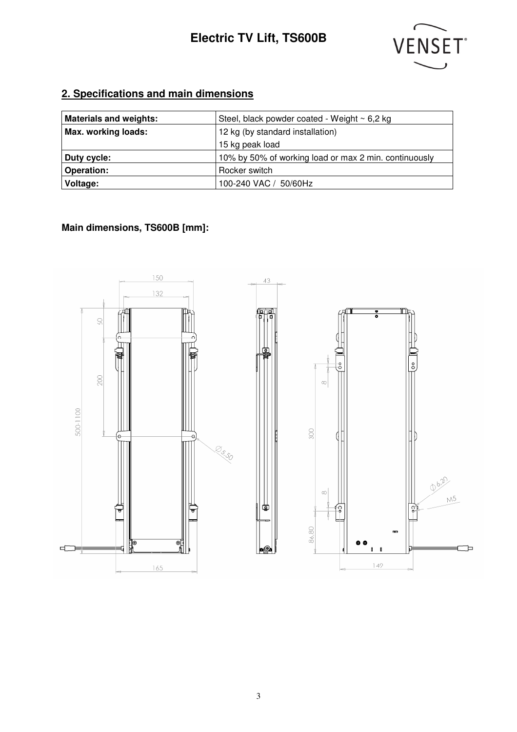

### **2. Specifications and main dimensions**

| <b>Materials and weights:</b> | Steel, black powder coated - Weight $\sim$ 6,2 kg     |  |  |  |  |  |
|-------------------------------|-------------------------------------------------------|--|--|--|--|--|
| Max. working loads:           | 12 kg (by standard installation)                      |  |  |  |  |  |
|                               | 15 kg peak load                                       |  |  |  |  |  |
| Duty cycle:                   | 10% by 50% of working load or max 2 min. continuously |  |  |  |  |  |
| <b>Operation:</b>             | Rocker switch                                         |  |  |  |  |  |
| Voltage:                      | 100-240 VAC / 50/60Hz                                 |  |  |  |  |  |

### **Main dimensions, TS600B [mm]:**

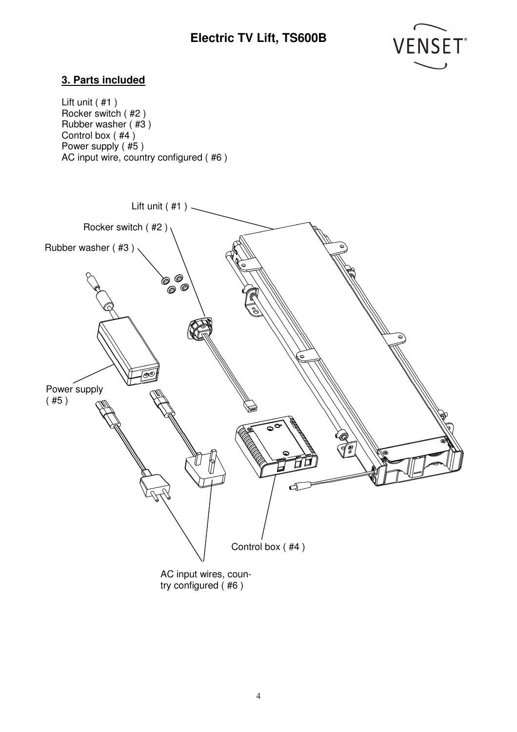

#### **3. Parts included**

Lift unit ( #1 ) Rocker switch ( #2 ) Rubber washer  $($ #3  $)$ Control box ( #4 ) Power supply (#5) AC input wire, country configured ( #6 )

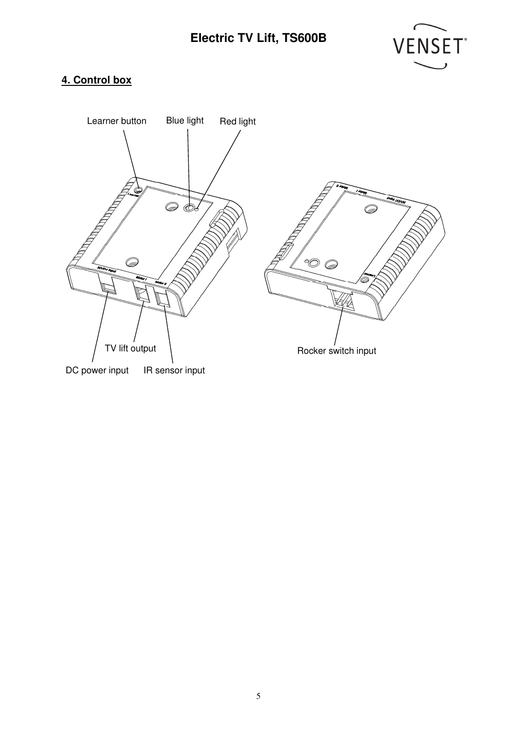

### **4. Control box**

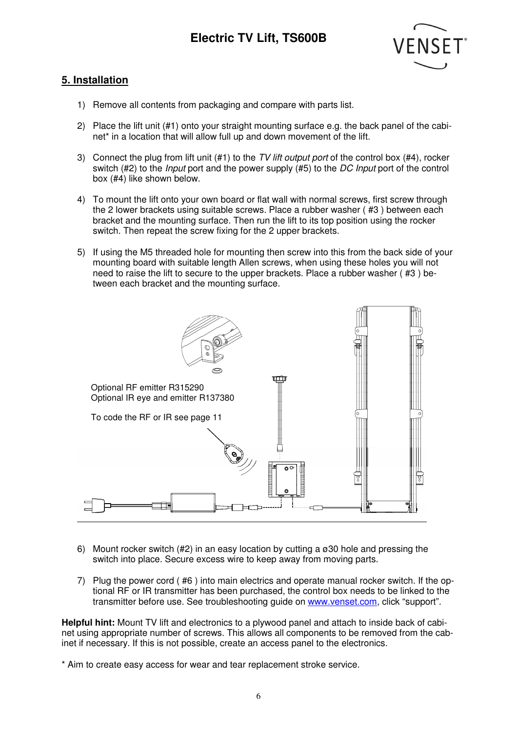

#### **5. Installation**

- 1) Remove all contents from packaging and compare with parts list.
- 2) Place the lift unit (#1) onto your straight mounting surface e.g. the back panel of the cabinet\* in a location that will allow full up and down movement of the lift.
- 3) Connect the plug from lift unit  $(#1)$  to the TV lift output port of the control box  $(#4)$ , rocker switch (#2) to the *Input* port and the power supply (#5) to the DC Input port of the control box (#4) like shown below.
- 4) To mount the lift onto your own board or flat wall with normal screws, first screw through the 2 lower brackets using suitable screws. Place a rubber washer ( #3 ) between each bracket and the mounting surface. Then run the lift to its top position using the rocker switch. Then repeat the screw fixing for the 2 upper brackets.
- 5) If using the M5 threaded hole for mounting then screw into this from the back side of your mounting board with suitable length Allen screws, when using these holes you will not need to raise the lift to secure to the upper brackets. Place a rubber washer ( #3 ) between each bracket and the mounting surface.



- 6) Mount rocker switch (#2) in an easy location by cutting a  $\sigma$ 30 hole and pressing the switch into place. Secure excess wire to keep away from moving parts.
- 7) Plug the power cord ( #6 ) into main electrics and operate manual rocker switch. If the optional RF or IR transmitter has been purchased, the control box needs to be linked to the transmitter before use. See troubleshooting guide on www.venset.com, click "support".

**Helpful hint:** Mount TV lift and electronics to a plywood panel and attach to inside back of cabinet using appropriate number of screws. This allows all components to be removed from the cabinet if necessary. If this is not possible, create an access panel to the electronics.

\* Aim to create easy access for wear and tear replacement stroke service.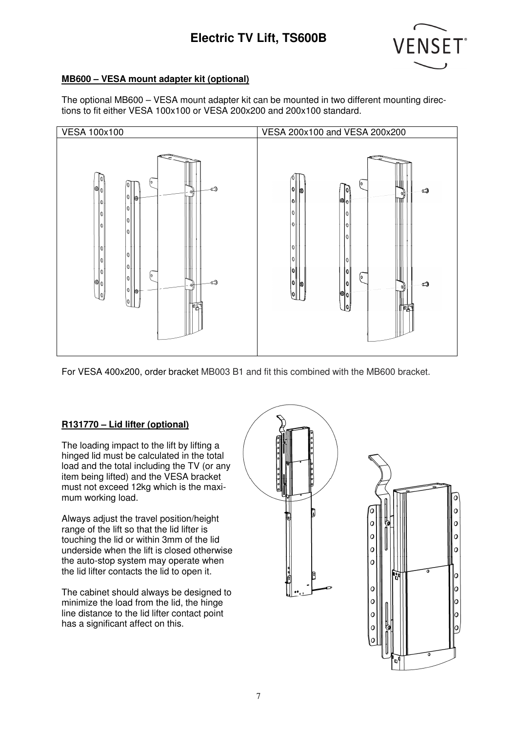

#### **MB600 – VESA mount adapter kit (optional)**

The optional MB600 – VESA mount adapter kit can be mounted in two different mounting directions to fit either VESA 100x100 or VESA 200x200 and 200x100 standard.



For VESA 400x200, order bracket MB003 B1 and fit this combined with the MB600 bracket.

#### **R131770 – Lid lifter (optional)**

The loading impact to the lift by lifting a hinged lid must be calculated in the total load and the total including the TV (or any item being lifted) and the VESA bracket must not exceed 12kg which is the maximum working load.

Always adjust the travel position/height range of the lift so that the lid lifter is touching the lid or within 3mm of the lid underside when the lift is closed otherwise the auto-stop system may operate when the lid lifter contacts the lid to open it.

The cabinet should always be designed to minimize the load from the lid, the hinge line distance to the lid lifter contact point has a significant affect on this.



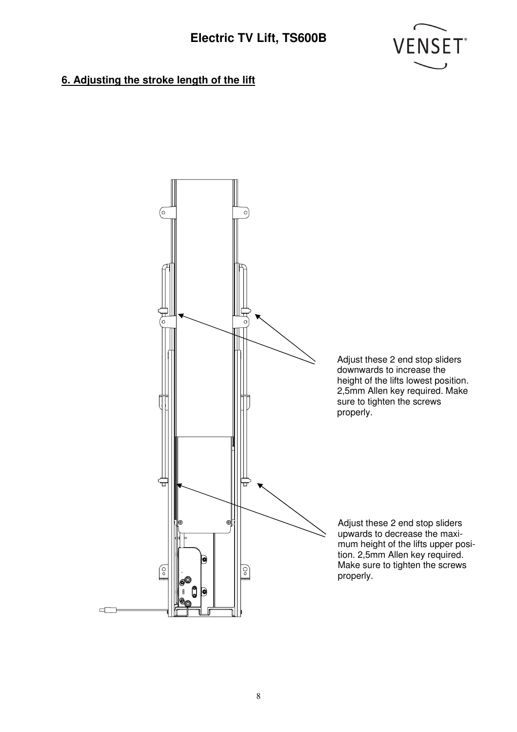

### **6. Adjusting the stroke length of the lift**

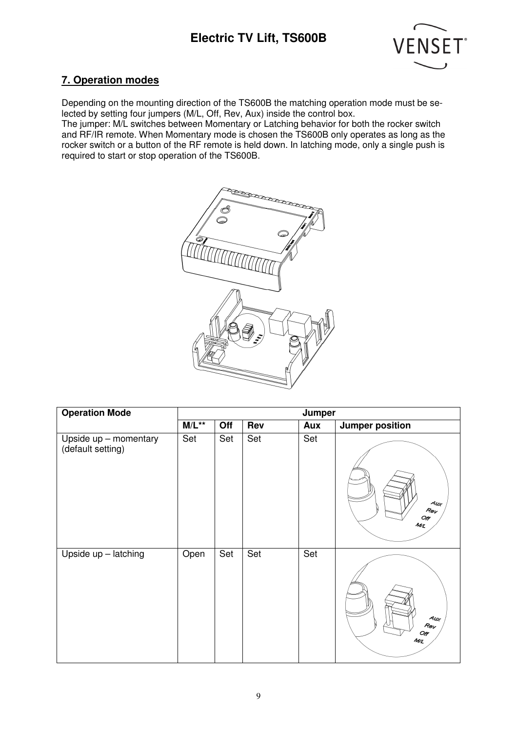

#### **7. Operation modes**

Depending on the mounting direction of the TS600B the matching operation mode must be selected by setting four jumpers (M/L, Off, Rev, Aux) inside the control box.

The jumper: M/L switches between Momentary or Latching behavior for both the rocker switch and RF/IR remote. When Momentary mode is chosen the TS600B only operates as long as the rocker switch or a button of the RF remote is held down. In latching mode, only a single push is required to start or stop operation of the TS600B.



| <b>Operation Mode</b>                      | Jumper   |     |     |     |                                                |  |
|--------------------------------------------|----------|-----|-----|-----|------------------------------------------------|--|
|                                            | $M/L***$ | Off | Rev | Aux | <b>Jumper position</b>                         |  |
| Upside up - momentary<br>(default setting) | Set      | Set | Set | Set | 4w <sub>f</sub><br>$R_{\theta V}$<br>Off<br>ML |  |
| Upside up - latching                       | Open     | Set | Set | Set | Au<br>Rev<br>Off<br>ML                         |  |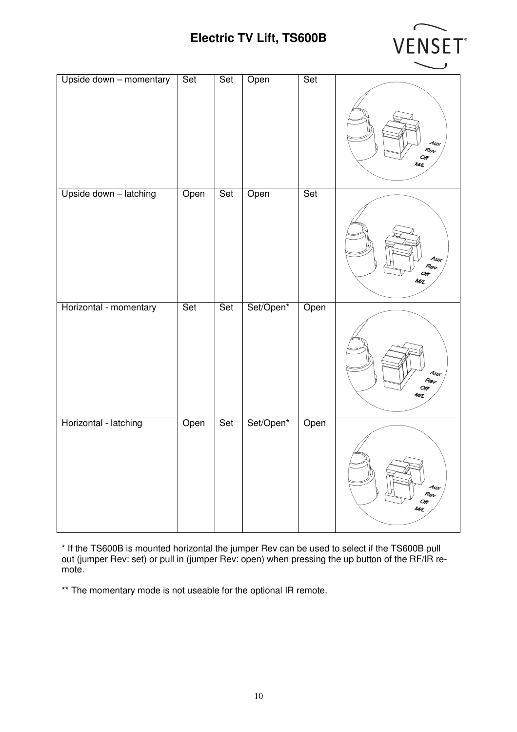

| Upside down - momentary | Set  | Set | Open      | Set  | Aur<br>Rev<br>$O_{\!P}$<br>$M\!{\ell}$         |
|-------------------------|------|-----|-----------|------|------------------------------------------------|
| Upside down - latching  | Open | Set | Open      | Set  | Aur<br>Rev<br>Or<br>ML                         |
| Horizontal - momentary  | Set  | Set | Set/Open* | Open | Au<br>Rev<br>Off<br>MZ                         |
| Horizontal - latching   | Open | Set | Set/Open* | Open | $A_{U\hspace{-1.1mm}\ell}$<br>Rev<br>Off<br>ML |

\* If the TS600B is mounted horizontal the jumper Rev can be used to select if the TS600B pull out (jumper Rev: set) or pull in (jumper Rev: open) when pressing the up button of the RF/IR remote.

\*\* The momentary mode is not useable for the optional IR remote.